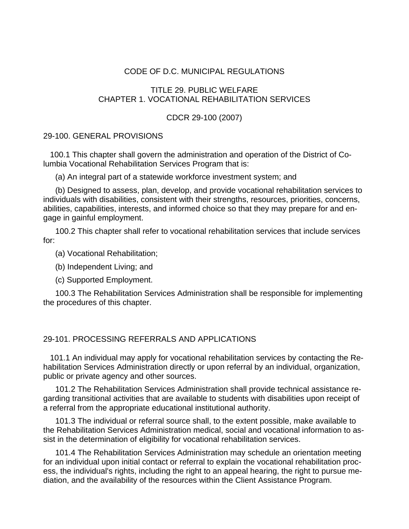## CODE OF D.C. MUNICIPAL REGULATIONS

# TITLE 29. PUBLIC WELFARE CHAPTER 1. VOCATIONAL REHABILITATION SERVICES

#### CDCR 29-100 (2007)

# 29-100. GENERAL PROVISIONS

 100.1 This chapter shall govern the administration and operation of the District of Columbia Vocational Rehabilitation Services Program that is:

(a) An integral part of a statewide workforce investment system; and

(b) Designed to assess, plan, develop, and provide vocational rehabilitation services to individuals with disabilities, consistent with their strengths, resources, priorities, concerns, abilities, capabilities, interests, and informed choice so that they may prepare for and engage in gainful employment.

100.2 This chapter shall refer to vocational rehabilitation services that include services for:

(a) Vocational Rehabilitation;

(b) Independent Living; and

(c) Supported Employment.

100.3 The Rehabilitation Services Administration shall be responsible for implementing the procedures of this chapter.

#### 29-101. PROCESSING REFERRALS AND APPLICATIONS

 101.1 An individual may apply for vocational rehabilitation services by contacting the Rehabilitation Services Administration directly or upon referral by an individual, organization, public or private agency and other sources.

101.2 The Rehabilitation Services Administration shall provide technical assistance regarding transitional activities that are available to students with disabilities upon receipt of a referral from the appropriate educational institutional authority.

101.3 The individual or referral source shall, to the extent possible, make available to the Rehabilitation Services Administration medical, social and vocational information to assist in the determination of eligibility for vocational rehabilitation services.

101.4 The Rehabilitation Services Administration may schedule an orientation meeting for an individual upon initial contact or referral to explain the vocational rehabilitation process, the individual's rights, including the right to an appeal hearing, the right to pursue mediation, and the availability of the resources within the Client Assistance Program.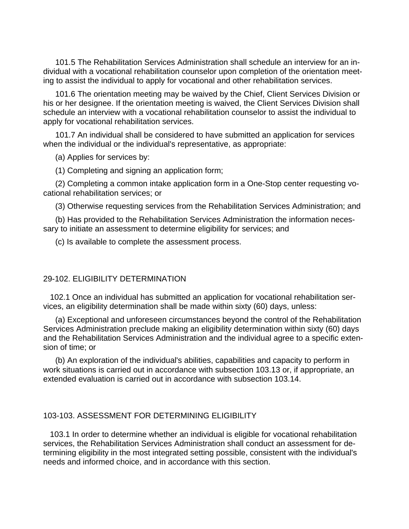101.5 The Rehabilitation Services Administration shall schedule an interview for an individual with a vocational rehabilitation counselor upon completion of the orientation meeting to assist the individual to apply for vocational and other rehabilitation services.

101.6 The orientation meeting may be waived by the Chief, Client Services Division or his or her designee. If the orientation meeting is waived, the Client Services Division shall schedule an interview with a vocational rehabilitation counselor to assist the individual to apply for vocational rehabilitation services.

101.7 An individual shall be considered to have submitted an application for services when the individual or the individual's representative, as appropriate:

(a) Applies for services by:

(1) Completing and signing an application form;

(2) Completing a common intake application form in a One-Stop center requesting vocational rehabilitation services; or

(3) Otherwise requesting services from the Rehabilitation Services Administration; and

(b) Has provided to the Rehabilitation Services Administration the information necessary to initiate an assessment to determine eligibility for services; and

(c) Is available to complete the assessment process.

#### 29-102. ELIGIBILITY DETERMINATION

 102.1 Once an individual has submitted an application for vocational rehabilitation services, an eligibility determination shall be made within sixty (60) days, unless:

(a) Exceptional and unforeseen circumstances beyond the control of the Rehabilitation Services Administration preclude making an eligibility determination within sixty (60) days and the Rehabilitation Services Administration and the individual agree to a specific extension of time; or

(b) An exploration of the individual's abilities, capabilities and capacity to perform in work situations is carried out in accordance with subsection 103.13 or, if appropriate, an extended evaluation is carried out in accordance with subsection 103.14.

#### 103-103. ASSESSMENT FOR DETERMINING ELIGIBILITY

 103.1 In order to determine whether an individual is eligible for vocational rehabilitation services, the Rehabilitation Services Administration shall conduct an assessment for determining eligibility in the most integrated setting possible, consistent with the individual's needs and informed choice, and in accordance with this section.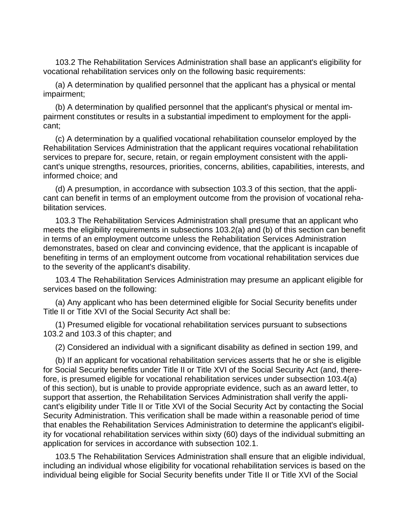103.2 The Rehabilitation Services Administration shall base an applicant's eligibility for vocational rehabilitation services only on the following basic requirements:

(a) A determination by qualified personnel that the applicant has a physical or mental impairment;

(b) A determination by qualified personnel that the applicant's physical or mental impairment constitutes or results in a substantial impediment to employment for the applicant;

(c) A determination by a qualified vocational rehabilitation counselor employed by the Rehabilitation Services Administration that the applicant requires vocational rehabilitation services to prepare for, secure, retain, or regain employment consistent with the applicant's unique strengths, resources, priorities, concerns, abilities, capabilities, interests, and informed choice; and

(d) A presumption, in accordance with subsection 103.3 of this section, that the applicant can benefit in terms of an employment outcome from the provision of vocational rehabilitation services.

103.3 The Rehabilitation Services Administration shall presume that an applicant who meets the eligibility requirements in subsections 103.2(a) and (b) of this section can benefit in terms of an employment outcome unless the Rehabilitation Services Administration demonstrates, based on clear and convincing evidence, that the applicant is incapable of benefiting in terms of an employment outcome from vocational rehabilitation services due to the severity of the applicant's disability.

103.4 The Rehabilitation Services Administration may presume an applicant eligible for services based on the following:

(a) Any applicant who has been determined eligible for Social Security benefits under Title II or Title XVI of the Social Security Act shall be:

(1) Presumed eligible for vocational rehabilitation services pursuant to subsections 103.2 and 103.3 of this chapter; and

(2) Considered an individual with a significant disability as defined in section 199, and

(b) If an applicant for vocational rehabilitation services asserts that he or she is eligible for Social Security benefits under Title II or Title XVI of the Social Security Act (and, therefore, is presumed eligible for vocational rehabilitation services under subsection 103.4(a) of this section), but is unable to provide appropriate evidence, such as an award letter, to support that assertion, the Rehabilitation Services Administration shall verify the applicant's eligibility under Title II or Title XVI of the Social Security Act by contacting the Social Security Administration. This verification shall be made within a reasonable period of time that enables the Rehabilitation Services Administration to determine the applicant's eligibility for vocational rehabilitation services within sixty (60) days of the individual submitting an application for services in accordance with subsection 102.1.

103.5 The Rehabilitation Services Administration shall ensure that an eligible individual, including an individual whose eligibility for vocational rehabilitation services is based on the individual being eligible for Social Security benefits under Title II or Title XVI of the Social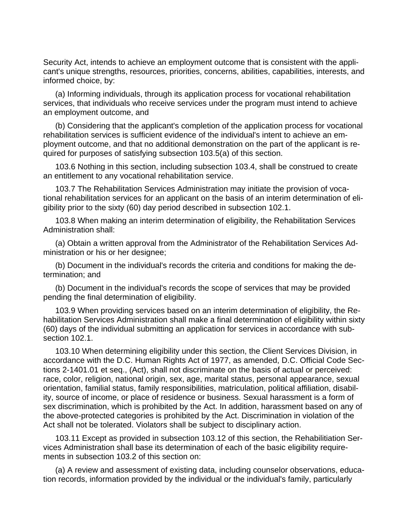Security Act, intends to achieve an employment outcome that is consistent with the applicant's unique strengths, resources, priorities, concerns, abilities, capabilities, interests, and informed choice, by:

(a) Informing individuals, through its application process for vocational rehabilitation services, that individuals who receive services under the program must intend to achieve an employment outcome, and

(b) Considering that the applicant's completion of the application process for vocational rehabilitation services is sufficient evidence of the individual's intent to achieve an employment outcome, and that no additional demonstration on the part of the applicant is required for purposes of satisfying subsection 103.5(a) of this section.

103.6 Nothing in this section, including subsection 103.4, shall be construed to create an entitlement to any vocational rehabilitation service.

103.7 The Rehabilitation Services Administration may initiate the provision of vocational rehabilitation services for an applicant on the basis of an interim determination of eligibility prior to the sixty (60) day period described in subsection 102.1.

103.8 When making an interim determination of eligibility, the Rehabilitation Services Administration shall:

(a) Obtain a written approval from the Administrator of the Rehabilitation Services Administration or his or her designee;

(b) Document in the individual's records the criteria and conditions for making the determination; and

(b) Document in the individual's records the scope of services that may be provided pending the final determination of eligibility.

103.9 When providing services based on an interim determination of eligibility, the Rehabilitation Services Administration shall make a final determination of eligibility within sixty (60) days of the individual submitting an application for services in accordance with subsection 102.1.

103.10 When determining eligibility under this section, the Client Services Division, in accordance with the D.C. Human Rights Act of 1977, as amended, D.C. Official Code Sections 2-1401.01 et seq., (Act), shall not discriminate on the basis of actual or perceived: race, color, religion, national origin, sex, age, marital status, personal appearance, sexual orientation, familial status, family responsibilities, matriculation, political affiliation, disability, source of income, or place of residence or business. Sexual harassment is a form of sex discrimination, which is prohibited by the Act. In addition, harassment based on any of the above-protected categories is prohibited by the Act. Discrimination in violation of the Act shall not be tolerated. Violators shall be subject to disciplinary action.

103.11 Except as provided in subsection 103.12 of this section, the Rehabilitiation Services Administration shall base its determination of each of the basic eligibility requirements in subsection 103.2 of this section on:

(a) A review and assessment of existing data, including counselor observations, education records, information provided by the individual or the individual's family, particularly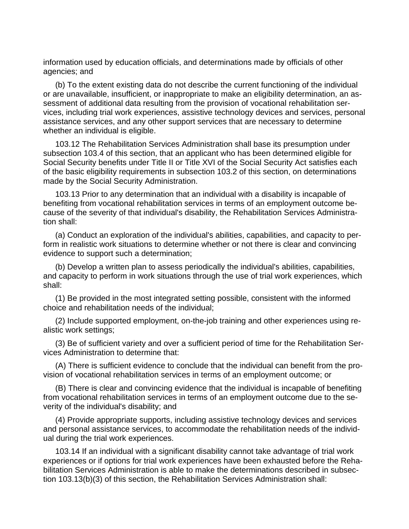information used by education officials, and determinations made by officials of other agencies; and

(b) To the extent existing data do not describe the current functioning of the individual or are unavailable, insufficient, or inappropriate to make an eligibility determination, an assessment of additional data resulting from the provision of vocational rehabilitation services, including trial work experiences, assistive technology devices and services, personal assistance services, and any other support services that are necessary to determine whether an individual is eligible.

103.12 The Rehabilitation Services Administration shall base its presumption under subsection 103.4 of this section, that an applicant who has been determined eligible for Social Security benefits under Title II or Title XVI of the Social Security Act satisfies each of the basic eligibility requirements in subsection 103.2 of this section, on determinations made by the Social Security Administration.

103.13 Prior to any determination that an individual with a disability is incapable of benefiting from vocational rehabilitation services in terms of an employment outcome because of the severity of that individual's disability, the Rehabilitation Services Administration shall:

(a) Conduct an exploration of the individual's abilities, capabilities, and capacity to perform in realistic work situations to determine whether or not there is clear and convincing evidence to support such a determination;

(b) Develop a written plan to assess periodically the individual's abilities, capabilities, and capacity to perform in work situations through the use of trial work experiences, which shall:

(1) Be provided in the most integrated setting possible, consistent with the informed choice and rehabilitation needs of the individual;

(2) Include supported employment, on-the-job training and other experiences using realistic work settings;

(3) Be of sufficient variety and over a sufficient period of time for the Rehabilitation Services Administration to determine that:

(A) There is sufficient evidence to conclude that the individual can benefit from the provision of vocational rehabilitation services in terms of an employment outcome; or

(B) There is clear and convincing evidence that the individual is incapable of benefiting from vocational rehabilitation services in terms of an employment outcome due to the severity of the individual's disability; and

(4) Provide appropriate supports, including assistive technology devices and services and personal assistance services, to accommodate the rehabilitation needs of the individual during the trial work experiences.

103.14 If an individual with a significant disability cannot take advantage of trial work experiences or if options for trial work experiences have been exhausted before the Rehabilitation Services Administration is able to make the determinations described in subsection 103.13(b)(3) of this section, the Rehabilitation Services Administration shall: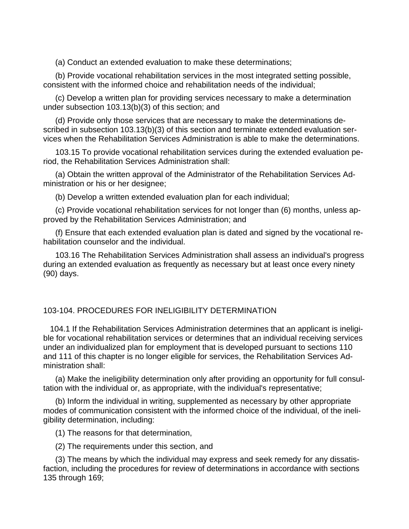(a) Conduct an extended evaluation to make these determinations;

(b) Provide vocational rehabilitation services in the most integrated setting possible, consistent with the informed choice and rehabilitation needs of the individual;

(c) Develop a written plan for providing services necessary to make a determination under subsection 103.13(b)(3) of this section; and

(d) Provide only those services that are necessary to make the determinations described in subsection 103.13(b)(3) of this section and terminate extended evaluation services when the Rehabilitation Services Administration is able to make the determinations.

103.15 To provide vocational rehabilitation services during the extended evaluation period, the Rehabilitation Services Administration shall:

(a) Obtain the written approval of the Administrator of the Rehabilitation Services Administration or his or her designee;

(b) Develop a written extended evaluation plan for each individual;

(c) Provide vocational rehabilitation services for not longer than (6) months, unless approved by the Rehabilitation Services Administration; and

(f) Ensure that each extended evaluation plan is dated and signed by the vocational rehabilitation counselor and the individual.

103.16 The Rehabilitation Services Administration shall assess an individual's progress during an extended evaluation as frequently as necessary but at least once every ninety (90) days.

# 103-104. PROCEDURES FOR INELIGIBILITY DETERMINATION

 104.1 If the Rehabilitation Services Administration determines that an applicant is ineligible for vocational rehabilitation services or determines that an individual receiving services under an individualized plan for employment that is developed pursuant to sections 110 and 111 of this chapter is no longer eligible for services, the Rehabilitation Services Administration shall:

(a) Make the ineligibility determination only after providing an opportunity for full consultation with the individual or, as appropriate, with the individual's representative;

(b) Inform the individual in writing, supplemented as necessary by other appropriate modes of communication consistent with the informed choice of the individual, of the ineligibility determination, including:

(1) The reasons for that determination,

(2) The requirements under this section, and

(3) The means by which the individual may express and seek remedy for any dissatisfaction, including the procedures for review of determinations in accordance with sections 135 through 169;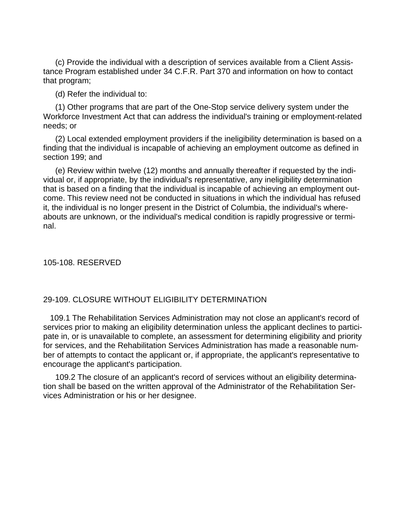(c) Provide the individual with a description of services available from a Client Assistance Program established under 34 C.F.R. Part 370 and information on how to contact that program;

(d) Refer the individual to:

(1) Other programs that are part of the One-Stop service delivery system under the Workforce Investment Act that can address the individual's training or employment-related needs; or

(2) Local extended employment providers if the ineligibility determination is based on a finding that the individual is incapable of achieving an employment outcome as defined in section 199; and

(e) Review within twelve (12) months and annually thereafter if requested by the individual or, if appropriate, by the individual's representative, any ineligibility determination that is based on a finding that the individual is incapable of achieving an employment outcome. This review need not be conducted in situations in which the individual has refused it, the individual is no longer present in the District of Columbia, the individual's whereabouts are unknown, or the individual's medical condition is rapidly progressive or terminal.

105-108. RESERVED

### 29-109. CLOSURE WITHOUT ELIGIBILITY DETERMINATION

 109.1 The Rehabilitation Services Administration may not close an applicant's record of services prior to making an eligibility determination unless the applicant declines to participate in, or is unavailable to complete, an assessment for determining eligibility and priority for services, and the Rehabilitation Services Administration has made a reasonable number of attempts to contact the applicant or, if appropriate, the applicant's representative to encourage the applicant's participation.

109.2 The closure of an applicant's record of services without an eligibility determination shall be based on the written approval of the Administrator of the Rehabilitation Services Administration or his or her designee.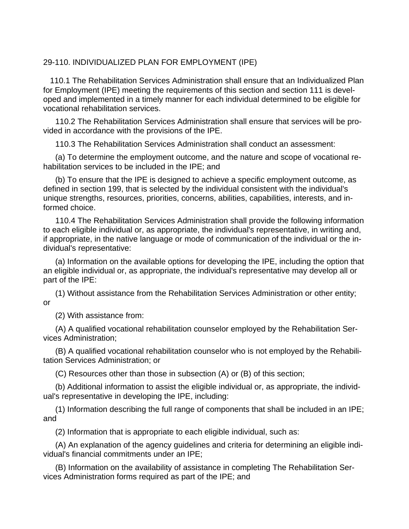# 29-110. INDIVIDUALIZED PLAN FOR EMPLOYMENT (IPE)

 110.1 The Rehabilitation Services Administration shall ensure that an Individualized Plan for Employment (IPE) meeting the requirements of this section and section 111 is developed and implemented in a timely manner for each individual determined to be eligible for vocational rehabilitation services.

110.2 The Rehabilitation Services Administration shall ensure that services will be provided in accordance with the provisions of the IPE.

110.3 The Rehabilitation Services Administration shall conduct an assessment:

(a) To determine the employment outcome, and the nature and scope of vocational rehabilitation services to be included in the IPE; and

(b) To ensure that the IPE is designed to achieve a specific employment outcome, as defined in section 199, that is selected by the individual consistent with the individual's unique strengths, resources, priorities, concerns, abilities, capabilities, interests, and informed choice.

110.4 The Rehabilitation Services Administration shall provide the following information to each eligible individual or, as appropriate, the individual's representative, in writing and, if appropriate, in the native language or mode of communication of the individual or the individual's representative:

(a) Information on the available options for developing the IPE, including the option that an eligible individual or, as appropriate, the individual's representative may develop all or part of the IPE:

(1) Without assistance from the Rehabilitation Services Administration or other entity; or

(2) With assistance from:

(A) A qualified vocational rehabilitation counselor employed by the Rehabilitation Services Administration;

(B) A qualified vocational rehabilitation counselor who is not employed by the Rehabilitation Services Administration; or

(C) Resources other than those in subsection (A) or (B) of this section;

(b) Additional information to assist the eligible individual or, as appropriate, the individual's representative in developing the IPE, including:

(1) Information describing the full range of components that shall be included in an IPE; and

(2) Information that is appropriate to each eligible individual, such as:

(A) An explanation of the agency guidelines and criteria for determining an eligible individual's financial commitments under an IPE;

(B) Information on the availability of assistance in completing The Rehabilitation Services Administration forms required as part of the IPE; and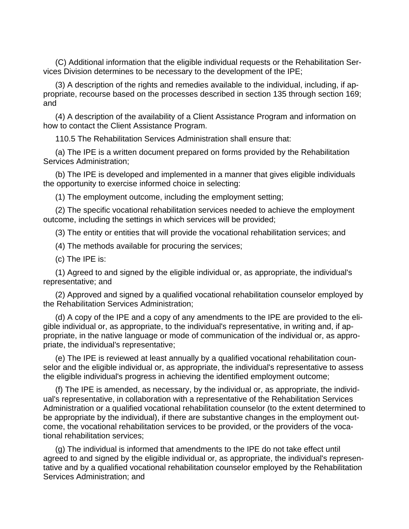(C) Additional information that the eligible individual requests or the Rehabilitation Services Division determines to be necessary to the development of the IPE;

(3) A description of the rights and remedies available to the individual, including, if appropriate, recourse based on the processes described in section 135 through section 169; and

(4) A description of the availability of a Client Assistance Program and information on how to contact the Client Assistance Program.

110.5 The Rehabilitation Services Administration shall ensure that:

(a) The IPE is a written document prepared on forms provided by the Rehabilitation Services Administration;

(b) The IPE is developed and implemented in a manner that gives eligible individuals the opportunity to exercise informed choice in selecting:

(1) The employment outcome, including the employment setting;

(2) The specific vocational rehabilitation services needed to achieve the employment outcome, including the settings in which services will be provided;

(3) The entity or entities that will provide the vocational rehabilitation services; and

(4) The methods available for procuring the services;

(c) The IPE is:

(1) Agreed to and signed by the eligible individual or, as appropriate, the individual's representative; and

(2) Approved and signed by a qualified vocational rehabilitation counselor employed by the Rehabilitation Services Administration;

(d) A copy of the IPE and a copy of any amendments to the IPE are provided to the eligible individual or, as appropriate, to the individual's representative, in writing and, if appropriate, in the native language or mode of communication of the individual or, as appropriate, the individual's representative;

(e) The IPE is reviewed at least annually by a qualified vocational rehabilitation counselor and the eligible individual or, as appropriate, the individual's representative to assess the eligible individual's progress in achieving the identified employment outcome;

(f) The IPE is amended, as necessary, by the individual or, as appropriate, the individual's representative, in collaboration with a representative of the Rehabilitation Services Administration or a qualified vocational rehabilitation counselor (to the extent determined to be appropriate by the individual), if there are substantive changes in the employment outcome, the vocational rehabilitation services to be provided, or the providers of the vocational rehabilitation services;

(g) The individual is informed that amendments to the IPE do not take effect until agreed to and signed by the eligible individual or, as appropriate, the individual's representative and by a qualified vocational rehabilitation counselor employed by the Rehabilitation Services Administration; and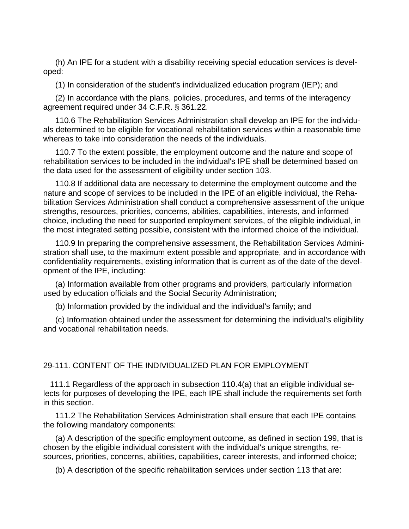(h) An IPE for a student with a disability receiving special education services is developed:

(1) In consideration of the student's individualized education program (IEP); and

(2) In accordance with the plans, policies, procedures, and terms of the interagency agreement required under 34 C.F.R. § 361.22.

110.6 The Rehabilitation Services Administration shall develop an IPE for the individuals determined to be eligible for vocational rehabilitation services within a reasonable time whereas to take into consideration the needs of the individuals.

110.7 To the extent possible, the employment outcome and the nature and scope of rehabilitation services to be included in the individual's IPE shall be determined based on the data used for the assessment of eligibility under section 103.

110.8 If additional data are necessary to determine the employment outcome and the nature and scope of services to be included in the IPE of an eligible individual, the Rehabilitation Services Administration shall conduct a comprehensive assessment of the unique strengths, resources, priorities, concerns, abilities, capabilities, interests, and informed choice, including the need for supported employment services, of the eligible individual, in the most integrated setting possible, consistent with the informed choice of the individual.

110.9 In preparing the comprehensive assessment, the Rehabilitation Services Administration shall use, to the maximum extent possible and appropriate, and in accordance with confidentiality requirements, existing information that is current as of the date of the development of the IPE, including:

(a) Information available from other programs and providers, particularly information used by education officials and the Social Security Administration;

(b) Information provided by the individual and the individual's family; and

(c) Information obtained under the assessment for determining the individual's eligibility and vocational rehabilitation needs.

# 29-111. CONTENT OF THE INDIVIDUALIZED PLAN FOR EMPLOYMENT

 111.1 Regardless of the approach in subsection 110.4(a) that an eligible individual selects for purposes of developing the IPE, each IPE shall include the requirements set forth in this section.

111.2 The Rehabilitation Services Administration shall ensure that each IPE contains the following mandatory components:

(a) A description of the specific employment outcome, as defined in section 199, that is chosen by the eligible individual consistent with the individual's unique strengths, resources, priorities, concerns, abilities, capabilities, career interests, and informed choice;

(b) A description of the specific rehabilitation services under section 113 that are: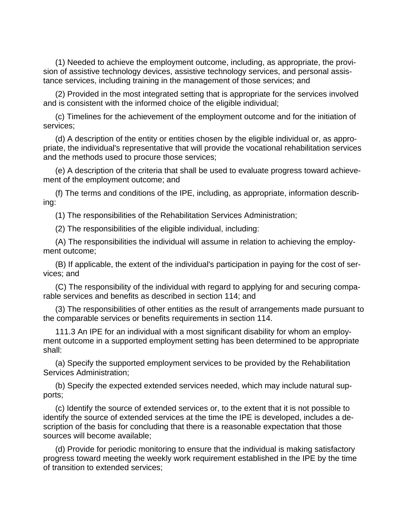(1) Needed to achieve the employment outcome, including, as appropriate, the provision of assistive technology devices, assistive technology services, and personal assistance services, including training in the management of those services; and

(2) Provided in the most integrated setting that is appropriate for the services involved and is consistent with the informed choice of the eligible individual;

(c) Timelines for the achievement of the employment outcome and for the initiation of services;

(d) A description of the entity or entities chosen by the eligible individual or, as appropriate, the individual's representative that will provide the vocational rehabilitation services and the methods used to procure those services;

(e) A description of the criteria that shall be used to evaluate progress toward achievement of the employment outcome; and

(f) The terms and conditions of the IPE, including, as appropriate, information describing:

(1) The responsibilities of the Rehabilitation Services Administration;

(2) The responsibilities of the eligible individual, including:

(A) The responsibilities the individual will assume in relation to achieving the employment outcome;

(B) If applicable, the extent of the individual's participation in paying for the cost of services; and

(C) The responsibility of the individual with regard to applying for and securing comparable services and benefits as described in section 114; and

(3) The responsibilities of other entities as the result of arrangements made pursuant to the comparable services or benefits requirements in section 114.

111.3 An IPE for an individual with a most significant disability for whom an employment outcome in a supported employment setting has been determined to be appropriate shall:

(a) Specify the supported employment services to be provided by the Rehabilitation Services Administration;

(b) Specify the expected extended services needed, which may include natural supports;

(c) Identify the source of extended services or, to the extent that it is not possible to identify the source of extended services at the time the IPE is developed, includes a description of the basis for concluding that there is a reasonable expectation that those sources will become available;

(d) Provide for periodic monitoring to ensure that the individual is making satisfactory progress toward meeting the weekly work requirement established in the IPE by the time of transition to extended services;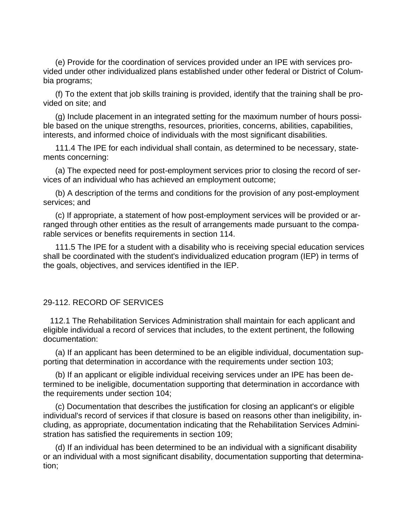(e) Provide for the coordination of services provided under an IPE with services provided under other individualized plans established under other federal or District of Columbia programs;

(f) To the extent that job skills training is provided, identify that the training shall be provided on site; and

(g) Include placement in an integrated setting for the maximum number of hours possible based on the unique strengths, resources, priorities, concerns, abilities, capabilities, interests, and informed choice of individuals with the most significant disabilities.

111.4 The IPE for each individual shall contain, as determined to be necessary, statements concerning:

(a) The expected need for post-employment services prior to closing the record of services of an individual who has achieved an employment outcome;

(b) A description of the terms and conditions for the provision of any post-employment services; and

(c) If appropriate, a statement of how post-employment services will be provided or arranged through other entities as the result of arrangements made pursuant to the comparable services or benefits requirements in section 114.

111.5 The IPE for a student with a disability who is receiving special education services shall be coordinated with the student's individualized education program (IEP) in terms of the goals, objectives, and services identified in the IEP.

## 29-112. RECORD OF SERVICES

 112.1 The Rehabilitation Services Administration shall maintain for each applicant and eligible individual a record of services that includes, to the extent pertinent, the following documentation:

(a) If an applicant has been determined to be an eligible individual, documentation supporting that determination in accordance with the requirements under section 103;

(b) If an applicant or eligible individual receiving services under an IPE has been determined to be ineligible, documentation supporting that determination in accordance with the requirements under section 104;

(c) Documentation that describes the justification for closing an applicant's or eligible individual's record of services if that closure is based on reasons other than ineligibility, including, as appropriate, documentation indicating that the Rehabilitation Services Administration has satisfied the requirements in section 109;

(d) If an individual has been determined to be an individual with a significant disability or an individual with a most significant disability, documentation supporting that determination;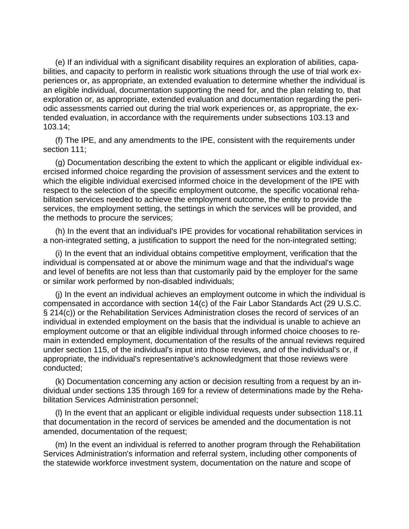(e) If an individual with a significant disability requires an exploration of abilities, capabilities, and capacity to perform in realistic work situations through the use of trial work experiences or, as appropriate, an extended evaluation to determine whether the individual is an eligible individual, documentation supporting the need for, and the plan relating to, that exploration or, as appropriate, extended evaluation and documentation regarding the periodic assessments carried out during the trial work experiences or, as appropriate, the extended evaluation, in accordance with the requirements under subsections 103.13 and 103.14;

(f) The IPE, and any amendments to the IPE, consistent with the requirements under section 111;

(g) Documentation describing the extent to which the applicant or eligible individual exercised informed choice regarding the provision of assessment services and the extent to which the eligible individual exercised informed choice in the development of the IPE with respect to the selection of the specific employment outcome, the specific vocational rehabilitation services needed to achieve the employment outcome, the entity to provide the services, the employment setting, the settings in which the services will be provided, and the methods to procure the services;

(h) In the event that an individual's IPE provides for vocational rehabilitation services in a non-integrated setting, a justification to support the need for the non-integrated setting;

(i) In the event that an individual obtains competitive employment, verification that the individual is compensated at or above the minimum wage and that the individual's wage and level of benefits are not less than that customarily paid by the employer for the same or similar work performed by non-disabled individuals;

(j) In the event an individual achieves an employment outcome in which the individual is compensated in accordance with section 14(c) of the Fair Labor Standards Act (29 U.S.C. § 214(c)) or the Rehabilitation Services Administration closes the record of services of an individual in extended employment on the basis that the individual is unable to achieve an employment outcome or that an eligible individual through informed choice chooses to remain in extended employment, documentation of the results of the annual reviews required under section 115, of the individual's input into those reviews, and of the individual's or, if appropriate, the individual's representative's acknowledgment that those reviews were conducted;

(k) Documentation concerning any action or decision resulting from a request by an individual under sections 135 through 169 for a review of determinations made by the Rehabilitation Services Administration personnel;

(l) In the event that an applicant or eligible individual requests under subsection 118.11 that documentation in the record of services be amended and the documentation is not amended, documentation of the request;

(m) In the event an individual is referred to another program through the Rehabilitation Services Administration's information and referral system, including other components of the statewide workforce investment system, documentation on the nature and scope of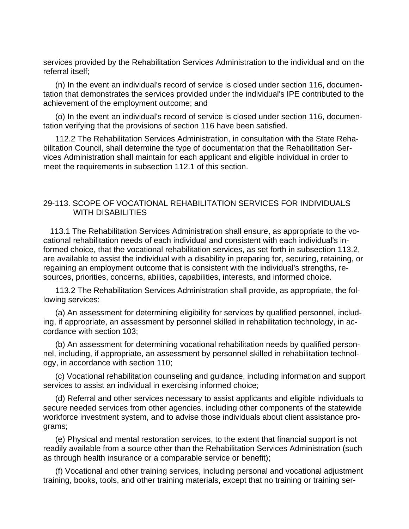services provided by the Rehabilitation Services Administration to the individual and on the referral itself;

(n) In the event an individual's record of service is closed under section 116, documentation that demonstrates the services provided under the individual's IPE contributed to the achievement of the employment outcome; and

(o) In the event an individual's record of service is closed under section 116, documentation verifying that the provisions of section 116 have been satisfied.

112.2 The Rehabilitation Services Administration, in consultation with the State Rehabilitation Council, shall determine the type of documentation that the Rehabilitation Services Administration shall maintain for each applicant and eligible individual in order to meet the requirements in subsection 112.1 of this section.

# 29-113. SCOPE OF VOCATIONAL REHABILITATION SERVICES FOR INDIVIDUALS WITH DISABILITIES

 113.1 The Rehabilitation Services Administration shall ensure, as appropriate to the vocational rehabilitation needs of each individual and consistent with each individual's informed choice, that the vocational rehabilitation services, as set forth in subsection 113.2, are available to assist the individual with a disability in preparing for, securing, retaining, or regaining an employment outcome that is consistent with the individual's strengths, resources, priorities, concerns, abilities, capabilities, interests, and informed choice.

113.2 The Rehabilitation Services Administration shall provide, as appropriate, the following services:

(a) An assessment for determining eligibility for services by qualified personnel, including, if appropriate, an assessment by personnel skilled in rehabilitation technology, in accordance with section 103;

(b) An assessment for determining vocational rehabilitation needs by qualified personnel, including, if appropriate, an assessment by personnel skilled in rehabilitation technology, in accordance with section 110;

(c) Vocational rehabilitation counseling and guidance, including information and support services to assist an individual in exercising informed choice;

(d) Referral and other services necessary to assist applicants and eligible individuals to secure needed services from other agencies, including other components of the statewide workforce investment system, and to advise those individuals about client assistance programs;

(e) Physical and mental restoration services, to the extent that financial support is not readily available from a source other than the Rehabilitation Services Administration (such as through health insurance or a comparable service or benefit);

(f) Vocational and other training services, including personal and vocational adjustment training, books, tools, and other training materials, except that no training or training ser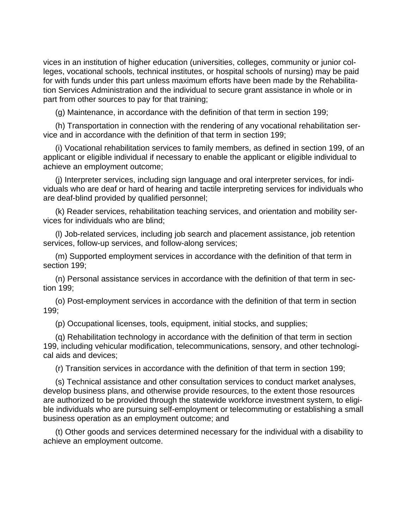vices in an institution of higher education (universities, colleges, community or junior colleges, vocational schools, technical institutes, or hospital schools of nursing) may be paid for with funds under this part unless maximum efforts have been made by the Rehabilitation Services Administration and the individual to secure grant assistance in whole or in part from other sources to pay for that training;

(g) Maintenance, in accordance with the definition of that term in section 199;

(h) Transportation in connection with the rendering of any vocational rehabilitation service and in accordance with the definition of that term in section 199;

(i) Vocational rehabilitation services to family members, as defined in section 199, of an applicant or eligible individual if necessary to enable the applicant or eligible individual to achieve an employment outcome;

(j) Interpreter services, including sign language and oral interpreter services, for individuals who are deaf or hard of hearing and tactile interpreting services for individuals who are deaf-blind provided by qualified personnel;

(k) Reader services, rehabilitation teaching services, and orientation and mobility services for individuals who are blind;

(l) Job-related services, including job search and placement assistance, job retention services, follow-up services, and follow-along services;

(m) Supported employment services in accordance with the definition of that term in section 199;

(n) Personal assistance services in accordance with the definition of that term in section 199;

(o) Post-employment services in accordance with the definition of that term in section 199;

(p) Occupational licenses, tools, equipment, initial stocks, and supplies;

(q) Rehabilitation technology in accordance with the definition of that term in section 199, including vehicular modification, telecommunications, sensory, and other technological aids and devices;

(r) Transition services in accordance with the definition of that term in section 199;

(s) Technical assistance and other consultation services to conduct market analyses, develop business plans, and otherwise provide resources, to the extent those resources are authorized to be provided through the statewide workforce investment system, to eligibusiness operation as an employment outcome; and

(t) Other goods and services determined necessary for the individual with a disability to achieve an employment outcome.

ble individuals who are pursuing self-employment or telecommuting or establishing a small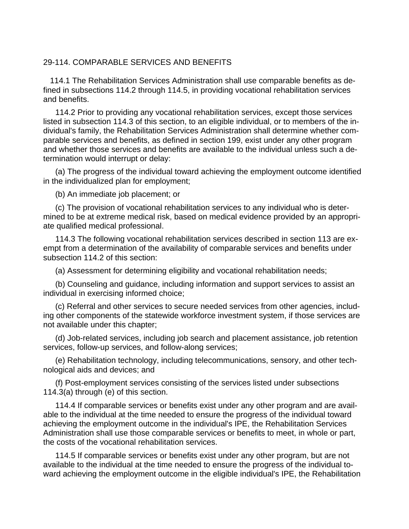# 29-114. COMPARABLE SERVICES AND BENEFITS

 114.1 The Rehabilitation Services Administration shall use comparable benefits as defined in subsections 114.2 through 114.5, in providing vocational rehabilitation services and benefits.

114.2 Prior to providing any vocational rehabilitation services, except those services listed in subsection 114.3 of this section, to an eligible individual, or to members of the individual's family, the Rehabilitation Services Administration shall determine whether comparable services and benefits, as defined in section 199, exist under any other program and whether those services and benefits are available to the individual unless such a determination would interrupt or delay:

(a) The progress of the individual toward achieving the employment outcome identified in the individualized plan for employment;

(b) An immediate job placement; or

(c) The provision of vocational rehabilitation services to any individual who is determined to be at extreme medical risk, based on medical evidence provided by an appropriate qualified medical professional.

114.3 The following vocational rehabilitation services described in section 113 are exempt from a determination of the availability of comparable services and benefits under subsection 114.2 of this section:

(a) Assessment for determining eligibility and vocational rehabilitation needs;

(b) Counseling and guidance, including information and support services to assist an individual in exercising informed choice;

(c) Referral and other services to secure needed services from other agencies, including other components of the statewide workforce investment system, if those services are not available under this chapter;

(d) Job-related services, including job search and placement assistance, job retention services, follow-up services, and follow-along services;

(e) Rehabilitation technology, including telecommunications, sensory, and other technological aids and devices; and

(f) Post-employment services consisting of the services listed under subsections 114.3(a) through (e) of this section.

114.4 If comparable services or benefits exist under any other program and are available to the individual at the time needed to ensure the progress of the individual toward achieving the employment outcome in the individual's IPE, the Rehabilitation Services Administration shall use those comparable services or benefits to meet, in whole or part, the costs of the vocational rehabilitation services.

114.5 If comparable services or benefits exist under any other program, but are not available to the individual at the time needed to ensure the progress of the individual toward achieving the employment outcome in the eligible individual's IPE, the Rehabilitation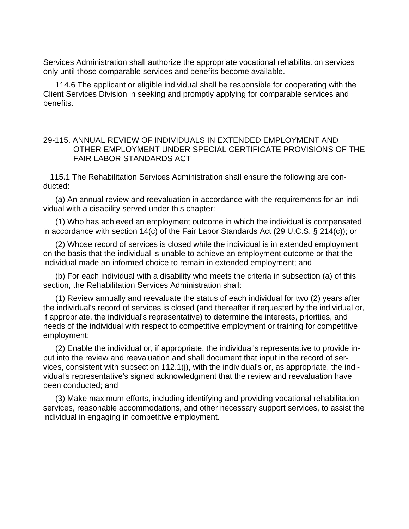Services Administration shall authorize the appropriate vocational rehabilitation services only until those comparable services and benefits become available.

114.6 The applicant or eligible individual shall be responsible for cooperating with the Client Services Division in seeking and promptly applying for comparable services and benefits.

# 29-115. ANNUAL REVIEW OF INDIVIDUALS IN EXTENDED EMPLOYMENT AND OTHER EMPLOYMENT UNDER SPECIAL CERTIFICATE PROVISIONS OF THE FAIR LABOR STANDARDS ACT

 115.1 The Rehabilitation Services Administration shall ensure the following are conducted:

(a) An annual review and reevaluation in accordance with the requirements for an individual with a disability served under this chapter:

(1) Who has achieved an employment outcome in which the individual is compensated in accordance with section 14(c) of the Fair Labor Standards Act (29 U.C.S. § 214(c)); or

(2) Whose record of services is closed while the individual is in extended employment on the basis that the individual is unable to achieve an employment outcome or that the individual made an informed choice to remain in extended employment; and

(b) For each individual with a disability who meets the criteria in subsection (a) of this section, the Rehabilitation Services Administration shall:

(1) Review annually and reevaluate the status of each individual for two (2) years after the individual's record of services is closed (and thereafter if requested by the individual or, if appropriate, the individual's representative) to determine the interests, priorities, and needs of the individual with respect to competitive employment or training for competitive employment;

(2) Enable the individual or, if appropriate, the individual's representative to provide input into the review and reevaluation and shall document that input in the record of services, consistent with subsection 112.1(j), with the individual's or, as appropriate, the individual's representative's signed acknowledgment that the review and reevaluation have been conducted; and

(3) Make maximum efforts, including identifying and providing vocational rehabilitation services, reasonable accommodations, and other necessary support services, to assist the individual in engaging in competitive employment.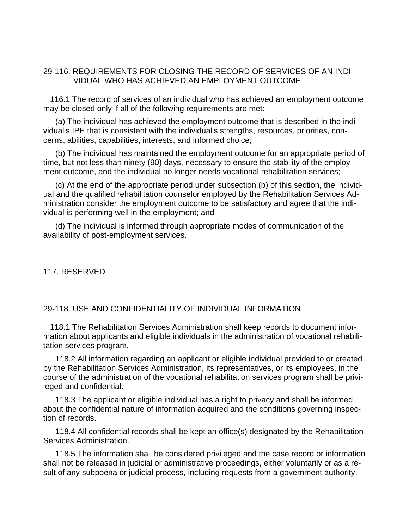# 29-116. REQUIREMENTS FOR CLOSING THE RECORD OF SERVICES OF AN INDI-VIDUAL WHO HAS ACHIEVED AN EMPLOYMENT OUTCOME

 116.1 The record of services of an individual who has achieved an employment outcome may be closed only if all of the following requirements are met:

(a) The individual has achieved the employment outcome that is described in the individual's IPE that is consistent with the individual's strengths, resources, priorities, concerns, abilities, capabilities, interests, and informed choice;

(b) The individual has maintained the employment outcome for an appropriate period of time, but not less than ninety (90) days, necessary to ensure the stability of the employment outcome, and the individual no longer needs vocational rehabilitation services;

(c) At the end of the appropriate period under subsection (b) of this section, the individual and the qualified rehabilitation counselor employed by the Rehabilitation Services Administration consider the employment outcome to be satisfactory and agree that the individual is performing well in the employment; and

(d) The individual is informed through appropriate modes of communication of the availability of post-employment services.

117. RESERVED

### 29-118. USE AND CONFIDENTIALITY OF INDIVIDUAL INFORMATION

 118.1 The Rehabilitation Services Administration shall keep records to document information about applicants and eligible individuals in the administration of vocational rehabilitation services program.

118.2 All information regarding an applicant or eligible individual provided to or created by the Rehabilitation Services Administration, its representatives, or its employees, in the course of the administration of the vocational rehabilitation services program shall be privileged and confidential.

118.3 The applicant or eligible individual has a right to privacy and shall be informed about the confidential nature of information acquired and the conditions governing inspection of records.

118.4 All confidential records shall be kept an office(s) designated by the Rehabilitation Services Administration.

118.5 The information shall be considered privileged and the case record or information shall not be released in judicial or administrative proceedings, either voluntarily or as a result of any subpoena or judicial process, including requests from a government authority,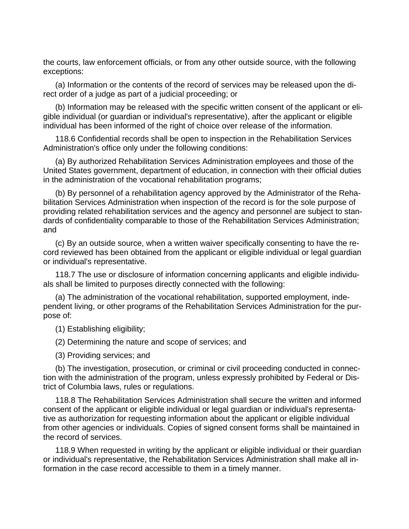the courts, law enforcement officials, or from any other outside source, with the following exceptions:

(a) Information or the contents of the record of services may be released upon the direct order of a judge as part of a judicial proceeding; or

(b) Information may be released with the specific written consent of the applicant or eligible individual (or guardian or individual's representative), after the applicant or eligible individual has been informed of the right of choice over release of the information.

118.6 Confidential records shall be open to inspection in the Rehabilitation Services Administration's office only under the following conditions:

(a) By authorized Rehabilitation Services Administration employees and those of the United States government, department of education, in connection with their official duties in the administration of the vocational rehabilitation programs;

(b) By personnel of a rehabilitation agency approved by the Administrator of the Rehabilitation Services Administration when inspection of the record is for the sole purpose of providing related rehabilitation services and the agency and personnel are subject to standards of confidentiality comparable to those of the Rehabilitation Services Administration; and

(c) By an outside source, when a written waiver specifically consenting to have the record reviewed has been obtained from the applicant or eligible individual or legal guardian or individual's representative.

118.7 The use or disclosure of information concerning applicants and eligible individuals shall be limited to purposes directly connected with the following:

(a) The administration of the vocational rehabilitation, supported employment, independent living, or other programs of the Rehabilitation Services Administration for the purpose of:

(1) Establishing eligibility;

(2) Determining the nature and scope of services; and

(3) Providing services; and

(b) The investigation, prosecution, or criminal or civil proceeding conducted in connection with the administration of the program, unless expressly prohibited by Federal or District of Columbia laws, rules or regulations.

118.8 The Rehabilitation Services Administration shall secure the written and informed consent of the applicant or eligible individual or legal guardian or individual's representative as authorization for requesting information about the applicant or eligible individual from other agencies or individuals. Copies of signed consent forms shall be maintained in the record of services.

118.9 When requested in writing by the applicant or eligible individual or their guardian or individual's representative, the Rehabilitation Services Administration shall make all information in the case record accessible to them in a timely manner.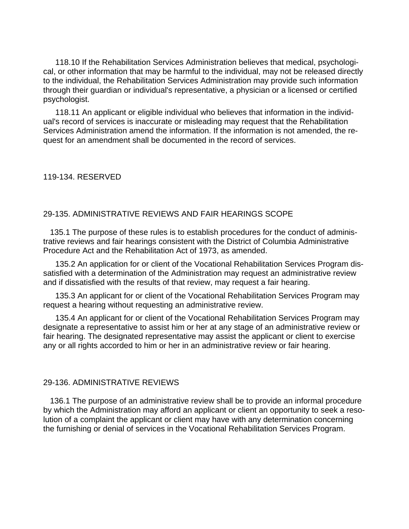118.10 If the Rehabilitation Services Administration believes that medical, psychological, or other information that may be harmful to the individual, may not be released directly to the individual, the Rehabilitation Services Administration may provide such information through their guardian or individual's representative, a physician or a licensed or certified psychologist.

118.11 An applicant or eligible individual who believes that information in the individual's record of services is inaccurate or misleading may request that the Rehabilitation Services Administration amend the information. If the information is not amended, the request for an amendment shall be documented in the record of services.

119-134. RESERVED

#### 29-135. ADMINISTRATIVE REVIEWS AND FAIR HEARINGS SCOPE

 135.1 The purpose of these rules is to establish procedures for the conduct of administrative reviews and fair hearings consistent with the District of Columbia Administrative Procedure Act and the Rehabilitation Act of 1973, as amended.

135.2 An application for or client of the Vocational Rehabilitation Services Program dissatisfied with a determination of the Administration may request an administrative review and if dissatisfied with the results of that review, may request a fair hearing.

135.3 An applicant for or client of the Vocational Rehabilitation Services Program may request a hearing without requesting an administrative review.

135.4 An applicant for or client of the Vocational Rehabilitation Services Program may designate a representative to assist him or her at any stage of an administrative review or fair hearing. The designated representative may assist the applicant or client to exercise any or all rights accorded to him or her in an administrative review or fair hearing.

#### 29-136. ADMINISTRATIVE REVIEWS

 136.1 The purpose of an administrative review shall be to provide an informal procedure by which the Administration may afford an applicant or client an opportunity to seek a resolution of a complaint the applicant or client may have with any determination concerning the furnishing or denial of services in the Vocational Rehabilitation Services Program.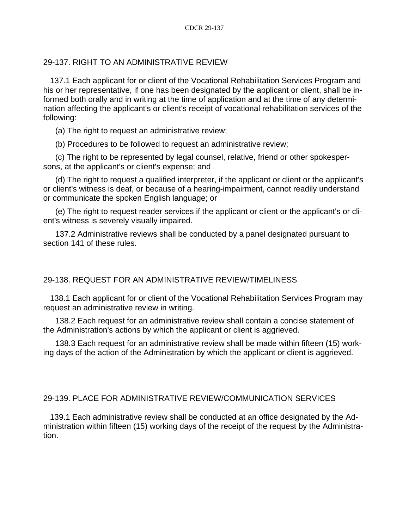# 29-137. RIGHT TO AN ADMINISTRATIVE REVIEW

 137.1 Each applicant for or client of the Vocational Rehabilitation Services Program and his or her representative, if one has been designated by the applicant or client, shall be informed both orally and in writing at the time of application and at the time of any determination affecting the applicant's or client's receipt of vocational rehabilitation services of the following:

(a) The right to request an administrative review;

(b) Procedures to be followed to request an administrative review;

(c) The right to be represented by legal counsel, relative, friend or other spokespersons, at the applicant's or client's expense; and

(d) The right to request a qualified interpreter, if the applicant or client or the applicant's or client's witness is deaf, or because of a hearing-impairment, cannot readily understand or communicate the spoken English language; or

(e) The right to request reader services if the applicant or client or the applicant's or client's witness is severely visually impaired.

137.2 Administrative reviews shall be conducted by a panel designated pursuant to section 141 of these rules.

# 29-138. REQUEST FOR AN ADMINISTRATIVE REVIEW/TIMELINESS

 138.1 Each applicant for or client of the Vocational Rehabilitation Services Program may request an administrative review in writing.

138.2 Each request for an administrative review shall contain a concise statement of the Administration's actions by which the applicant or client is aggrieved.

138.3 Each request for an administrative review shall be made within fifteen (15) working days of the action of the Administration by which the applicant or client is aggrieved.

#### 29-139. PLACE FOR ADMINISTRATIVE REVIEW/COMMUNICATION SERVICES

 139.1 Each administrative review shall be conducted at an office designated by the Administration within fifteen (15) working days of the receipt of the request by the Administration.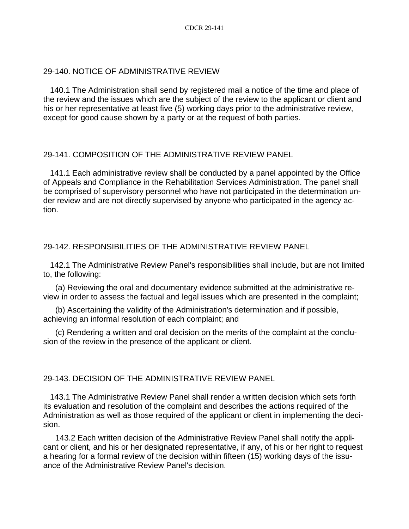# 29-140. NOTICE OF ADMINISTRATIVE REVIEW

 140.1 The Administration shall send by registered mail a notice of the time and place of the review and the issues which are the subject of the review to the applicant or client and his or her representative at least five (5) working days prior to the administrative review, except for good cause shown by a party or at the request of both parties.

# 29-141. COMPOSITION OF THE ADMINISTRATIVE REVIEW PANEL

 141.1 Each administrative review shall be conducted by a panel appointed by the Office of Appeals and Compliance in the Rehabilitation Services Administration. The panel shall be comprised of supervisory personnel who have not participated in the determination under review and are not directly supervised by anyone who participated in the agency action.

# 29-142. RESPONSIBILITIES OF THE ADMINISTRATIVE REVIEW PANEL

 142.1 The Administrative Review Panel's responsibilities shall include, but are not limited to, the following:

(a) Reviewing the oral and documentary evidence submitted at the administrative review in order to assess the factual and legal issues which are presented in the complaint;

(b) Ascertaining the validity of the Administration's determination and if possible, achieving an informal resolution of each complaint; and

(c) Rendering a written and oral decision on the merits of the complaint at the conclusion of the review in the presence of the applicant or client.

# 29-143. DECISION OF THE ADMINISTRATIVE REVIEW PANEL

 143.1 The Administrative Review Panel shall render a written decision which sets forth its evaluation and resolution of the complaint and describes the actions required of the Administration as well as those required of the applicant or client in implementing the decision.

143.2 Each written decision of the Administrative Review Panel shall notify the applicant or client, and his or her designated representative, if any, of his or her right to request a hearing for a formal review of the decision within fifteen (15) working days of the issuance of the Administrative Review Panel's decision.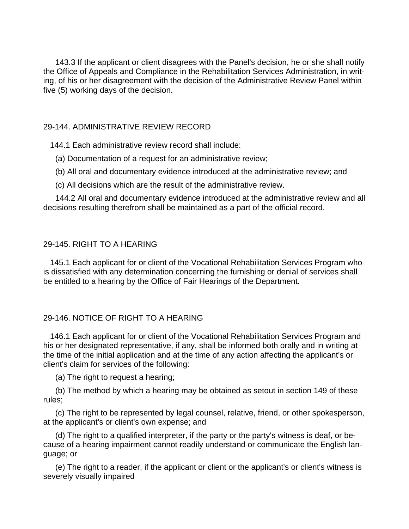143.3 If the applicant or client disagrees with the Panel's decision, he or she shall notify the Office of Appeals and Compliance in the Rehabilitation Services Administration, in writing, of his or her disagreement with the decision of the Administrative Review Panel within five (5) working days of the decision.

# 29-144. ADMINISTRATIVE REVIEW RECORD

144.1 Each administrative review record shall include:

- (a) Documentation of a request for an administrative review;
- (b) All oral and documentary evidence introduced at the administrative review; and
- (c) All decisions which are the result of the administrative review.

144.2 All oral and documentary evidence introduced at the administrative review and all decisions resulting therefrom shall be maintained as a part of the official record.

# 29-145. RIGHT TO A HEARING

 145.1 Each applicant for or client of the Vocational Rehabilitation Services Program who is dissatisfied with any determination concerning the furnishing or denial of services shall be entitled to a hearing by the Office of Fair Hearings of the Department.

# 29-146. NOTICE OF RIGHT TO A HEARING

 146.1 Each applicant for or client of the Vocational Rehabilitation Services Program and his or her designated representative, if any, shall be informed both orally and in writing at the time of the initial application and at the time of any action affecting the applicant's or client's claim for services of the following:

(a) The right to request a hearing;

(b) The method by which a hearing may be obtained as setout in section 149 of these rules;

(c) The right to be represented by legal counsel, relative, friend, or other spokesperson, at the applicant's or client's own expense; and

(d) The right to a qualified interpreter, if the party or the party's witness is deaf, or because of a hearing impairment cannot readily understand or communicate the English language; or

(e) The right to a reader, if the applicant or client or the applicant's or client's witness is severely visually impaired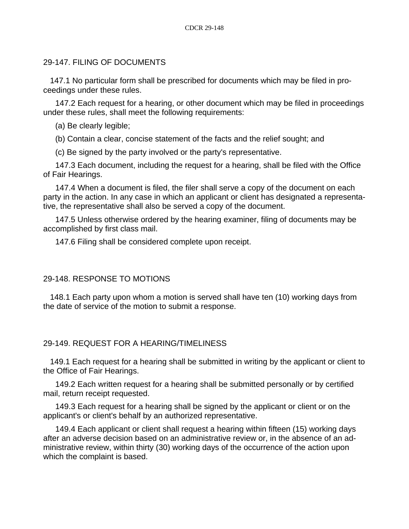# 29-147. FILING OF DOCUMENTS

 147.1 No particular form shall be prescribed for documents which may be filed in proceedings under these rules.

147.2 Each request for a hearing, or other document which may be filed in proceedings under these rules, shall meet the following requirements:

- (a) Be clearly legible;
- (b) Contain a clear, concise statement of the facts and the relief sought; and
- (c) Be signed by the party involved or the party's representative.

147.3 Each document, including the request for a hearing, shall be filed with the Office of Fair Hearings.

147.4 When a document is filed, the filer shall serve a copy of the document on each party in the action. In any case in which an applicant or client has designated a representative, the representative shall also be served a copy of the document.

147.5 Unless otherwise ordered by the hearing examiner, filing of documents may be accomplished by first class mail.

147.6 Filing shall be considered complete upon receipt.

# 29-148. RESPONSE TO MOTIONS

 148.1 Each party upon whom a motion is served shall have ten (10) working days from the date of service of the motion to submit a response.

# 29-149. REQUEST FOR A HEARING/TIMELINESS

 149.1 Each request for a hearing shall be submitted in writing by the applicant or client to the Office of Fair Hearings.

149.2 Each written request for a hearing shall be submitted personally or by certified mail, return receipt requested.

149.3 Each request for a hearing shall be signed by the applicant or client or on the applicant's or client's behalf by an authorized representative.

149.4 Each applicant or client shall request a hearing within fifteen (15) working days after an adverse decision based on an administrative review or, in the absence of an administrative review, within thirty (30) working days of the occurrence of the action upon which the complaint is based.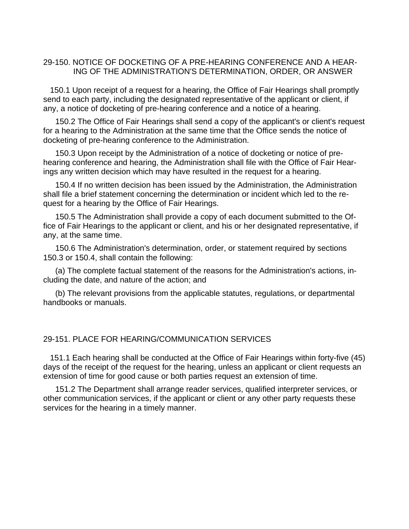### 29-150. NOTICE OF DOCKETING OF A PRE-HEARING CONFERENCE AND A HEAR-ING OF THE ADMINISTRATION'S DETERMINATION, ORDER, OR ANSWER

 150.1 Upon receipt of a request for a hearing, the Office of Fair Hearings shall promptly send to each party, including the designated representative of the applicant or client, if any, a notice of docketing of pre-hearing conference and a notice of a hearing.

150.2 The Office of Fair Hearings shall send a copy of the applicant's or client's request for a hearing to the Administration at the same time that the Office sends the notice of docketing of pre-hearing conference to the Administration.

150.3 Upon receipt by the Administration of a notice of docketing or notice of prehearing conference and hearing, the Administration shall file with the Office of Fair Hearings any written decision which may have resulted in the request for a hearing.

150.4 If no written decision has been issued by the Administration, the Administration shall file a brief statement concerning the determination or incident which led to the request for a hearing by the Office of Fair Hearings.

150.5 The Administration shall provide a copy of each document submitted to the Office of Fair Hearings to the applicant or client, and his or her designated representative, if any, at the same time.

150.6 The Administration's determination, order, or statement required by sections 150.3 or 150.4, shall contain the following:

(a) The complete factual statement of the reasons for the Administration's actions, including the date, and nature of the action; and

(b) The relevant provisions from the applicable statutes, regulations, or departmental handbooks or manuals.

#### 29-151. PLACE FOR HEARING/COMMUNICATION SERVICES

 151.1 Each hearing shall be conducted at the Office of Fair Hearings within forty-five (45) days of the receipt of the request for the hearing, unless an applicant or client requests an extension of time for good cause or both parties request an extension of time.

151.2 The Department shall arrange reader services, qualified interpreter services, or other communication services, if the applicant or client or any other party requests these services for the hearing in a timely manner.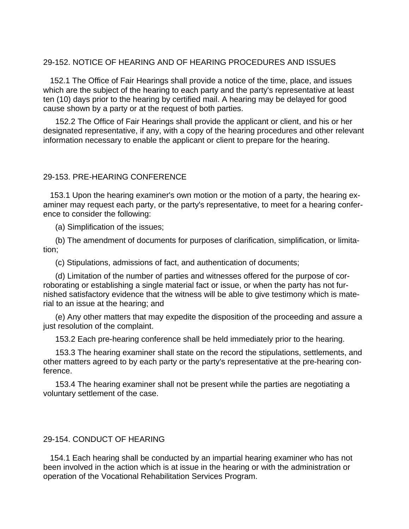## 29-152. NOTICE OF HEARING AND OF HEARING PROCEDURES AND ISSUES

 152.1 The Office of Fair Hearings shall provide a notice of the time, place, and issues which are the subject of the hearing to each party and the party's representative at least ten (10) days prior to the hearing by certified mail. A hearing may be delayed for good cause shown by a party or at the request of both parties.

152.2 The Office of Fair Hearings shall provide the applicant or client, and his or her designated representative, if any, with a copy of the hearing procedures and other relevant information necessary to enable the applicant or client to prepare for the hearing.

#### 29-153. PRE-HEARING CONFERENCE

 153.1 Upon the hearing examiner's own motion or the motion of a party, the hearing examiner may request each party, or the party's representative, to meet for a hearing conference to consider the following:

(a) Simplification of the issues;

(b) The amendment of documents for purposes of clarification, simplification, or limitation;

(c) Stipulations, admissions of fact, and authentication of documents;

(d) Limitation of the number of parties and witnesses offered for the purpose of corroborating or establishing a single material fact or issue, or when the party has not furnished satisfactory evidence that the witness will be able to give testimony which is material to an issue at the hearing; and

(e) Any other matters that may expedite the disposition of the proceeding and assure a just resolution of the complaint.

153.2 Each pre-hearing conference shall be held immediately prior to the hearing.

153.3 The hearing examiner shall state on the record the stipulations, settlements, and other matters agreed to by each party or the party's representative at the pre-hearing conference.

153.4 The hearing examiner shall not be present while the parties are negotiating a voluntary settlement of the case.

#### 29-154. CONDUCT OF HEARING

 154.1 Each hearing shall be conducted by an impartial hearing examiner who has not been involved in the action which is at issue in the hearing or with the administration or operation of the Vocational Rehabilitation Services Program.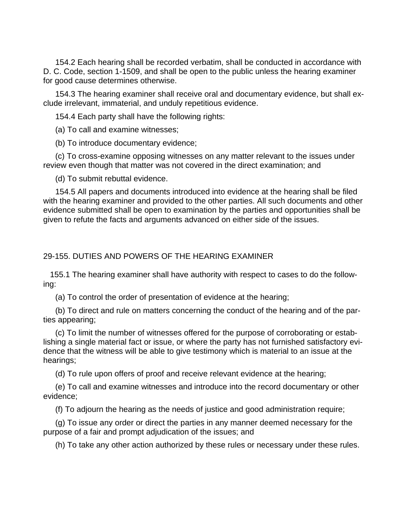154.2 Each hearing shall be recorded verbatim, shall be conducted in accordance with D. C. Code, section 1-1509, and shall be open to the public unless the hearing examiner for good cause determines otherwise.

154.3 The hearing examiner shall receive oral and documentary evidence, but shall exclude irrelevant, immaterial, and unduly repetitious evidence.

154.4 Each party shall have the following rights:

(a) To call and examine witnesses;

(b) To introduce documentary evidence;

(c) To cross-examine opposing witnesses on any matter relevant to the issues under review even though that matter was not covered in the direct examination; and

(d) To submit rebuttal evidence.

154.5 All papers and documents introduced into evidence at the hearing shall be filed with the hearing examiner and provided to the other parties. All such documents and other evidence submitted shall be open to examination by the parties and opportunities shall be given to refute the facts and arguments advanced on either side of the issues.

# 29-155. DUTIES AND POWERS OF THE HEARING EXAMINER

 155.1 The hearing examiner shall have authority with respect to cases to do the following:

(a) To control the order of presentation of evidence at the hearing;

(b) To direct and rule on matters concerning the conduct of the hearing and of the parties appearing;

(c) To limit the number of witnesses offered for the purpose of corroborating or establishing a single material fact or issue, or where the party has not furnished satisfactory evidence that the witness will be able to give testimony which is material to an issue at the hearings;

(d) To rule upon offers of proof and receive relevant evidence at the hearing;

(e) To call and examine witnesses and introduce into the record documentary or other evidence;

(f) To adjourn the hearing as the needs of justice and good administration require;

(g) To issue any order or direct the parties in any manner deemed necessary for the purpose of a fair and prompt adjudication of the issues; and

(h) To take any other action authorized by these rules or necessary under these rules.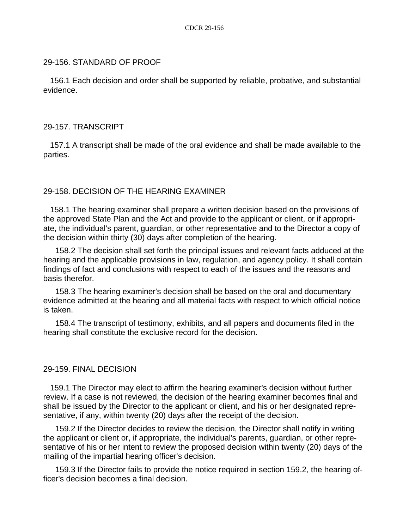## 29-156. STANDARD OF PROOF

 156.1 Each decision and order shall be supported by reliable, probative, and substantial evidence.

## 29-157. TRANSCRIPT

 157.1 A transcript shall be made of the oral evidence and shall be made available to the parties.

# 29-158. DECISION OF THE HEARING EXAMINER

 158.1 The hearing examiner shall prepare a written decision based on the provisions of the approved State Plan and the Act and provide to the applicant or client, or if appropriate, the individual's parent, guardian, or other representative and to the Director a copy of the decision within thirty (30) days after completion of the hearing.

158.2 The decision shall set forth the principal issues and relevant facts adduced at the hearing and the applicable provisions in law, regulation, and agency policy. It shall contain findings of fact and conclusions with respect to each of the issues and the reasons and basis therefor.

158.3 The hearing examiner's decision shall be based on the oral and documentary evidence admitted at the hearing and all material facts with respect to which official notice is taken.

158.4 The transcript of testimony, exhibits, and all papers and documents filed in the hearing shall constitute the exclusive record for the decision.

# 29-159. FINAL DECISION

 159.1 The Director may elect to affirm the hearing examiner's decision without further review. If a case is not reviewed, the decision of the hearing examiner becomes final and shall be issued by the Director to the applicant or client, and his or her designated representative, if any, within twenty (20) days after the receipt of the decision.

159.2 If the Director decides to review the decision, the Director shall notify in writing the applicant or client or, if appropriate, the individual's parents, guardian, or other representative of his or her intent to review the proposed decision within twenty (20) days of the mailing of the impartial hearing officer's decision.

159.3 If the Director fails to provide the notice required in section 159.2, the hearing officer's decision becomes a final decision.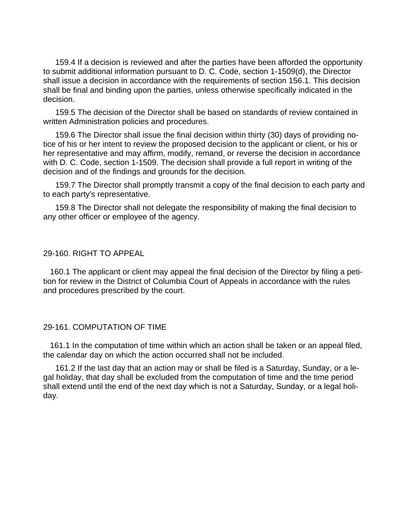159.4 If a decision is reviewed and after the parties have been afforded the opportunity to submit additional information pursuant to D. C. Code, section 1-1509(d), the Director shall issue a decision in accordance with the requirements of section 156.1. This decision shall be final and binding upon the parties, unless otherwise specifically indicated in the decision.

159.5 The decision of the Director shall be based on standards of review contained in written Administration policies and procedures.

159.6 The Director shall issue the final decision within thirty (30) days of providing notice of his or her intent to review the proposed decision to the applicant or client, or his or her representative and may affirm, modify, remand, or reverse the decision in accordance with D. C. Code, section 1-1509. The decision shall provide a full report in writing of the decision and of the findings and grounds for the decision.

159.7 The Director shall promptly transmit a copy of the final decision to each party and to each party's representative.

159.8 The Director shall not delegate the responsibility of making the final decision to any other officer or employee of the agency.

#### 29-160. RIGHT TO APPEAL

 160.1 The applicant or client may appeal the final decision of the Director by filing a petition for review in the District of Columbia Court of Appeals in accordance with the rules and procedures prescribed by the court.

#### 29-161. COMPUTATION OF TIME

 161.1 In the computation of time within which an action shall be taken or an appeal filed, the calendar day on which the action occurred shall not be included.

161.2 If the last day that an action may or shall be filed is a Saturday, Sunday, or a legal holiday, that day shall be excluded from the computation of time and the time period shall extend until the end of the next day which is not a Saturday, Sunday, or a legal holiday.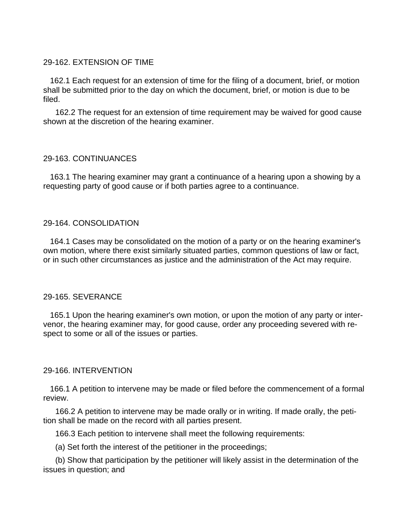# 29-162. EXTENSION OF TIME

 162.1 Each request for an extension of time for the filing of a document, brief, or motion shall be submitted prior to the day on which the document, brief, or motion is due to be filed.

162.2 The request for an extension of time requirement may be waived for good cause shown at the discretion of the hearing examiner.

## 29-163. CONTINUANCES

 163.1 The hearing examiner may grant a continuance of a hearing upon a showing by a requesting party of good cause or if both parties agree to a continuance.

## 29-164. CONSOLIDATION

 164.1 Cases may be consolidated on the motion of a party or on the hearing examiner's own motion, where there exist similarly situated parties, common questions of law or fact, or in such other circumstances as justice and the administration of the Act may require.

#### 29-165. SEVERANCE

 165.1 Upon the hearing examiner's own motion, or upon the motion of any party or intervenor, the hearing examiner may, for good cause, order any proceeding severed with respect to some or all of the issues or parties.

# 29-166. INTERVENTION

 166.1 A petition to intervene may be made or filed before the commencement of a formal review.

166.2 A petition to intervene may be made orally or in writing. If made orally, the petition shall be made on the record with all parties present.

166.3 Each petition to intervene shall meet the following requirements:

(a) Set forth the interest of the petitioner in the proceedings;

(b) Show that participation by the petitioner will likely assist in the determination of the issues in question; and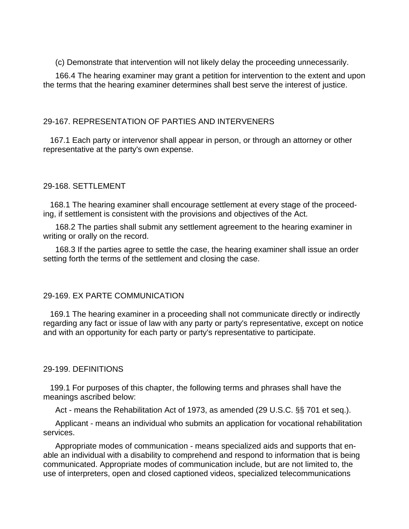(c) Demonstrate that intervention will not likely delay the proceeding unnecessarily.

166.4 The hearing examiner may grant a petition for intervention to the extent and upon the terms that the hearing examiner determines shall best serve the interest of justice.

# 29-167. REPRESENTATION OF PARTIES AND INTERVENERS

 167.1 Each party or intervenor shall appear in person, or through an attorney or other representative at the party's own expense.

## 29-168. SETTLEMENT

 168.1 The hearing examiner shall encourage settlement at every stage of the proceeding, if settlement is consistent with the provisions and objectives of the Act.

168.2 The parties shall submit any settlement agreement to the hearing examiner in writing or orally on the record.

168.3 If the parties agree to settle the case, the hearing examiner shall issue an order setting forth the terms of the settlement and closing the case.

#### 29-169. EX PARTE COMMUNICATION

 169.1 The hearing examiner in a proceeding shall not communicate directly or indirectly regarding any fact or issue of law with any party or party's representative, except on notice and with an opportunity for each party or party's representative to participate.

#### 29-199. DEFINITIONS

 199.1 For purposes of this chapter, the following terms and phrases shall have the meanings ascribed below:

Act - means the Rehabilitation Act of 1973, as amended (29 U.S.C. §§ 701 et seq.).

Applicant - means an individual who submits an application for vocational rehabilitation services.

Appropriate modes of communication - means specialized aids and supports that enable an individual with a disability to comprehend and respond to information that is being communicated. Appropriate modes of communication include, but are not limited to, the use of interpreters, open and closed captioned videos, specialized telecommunications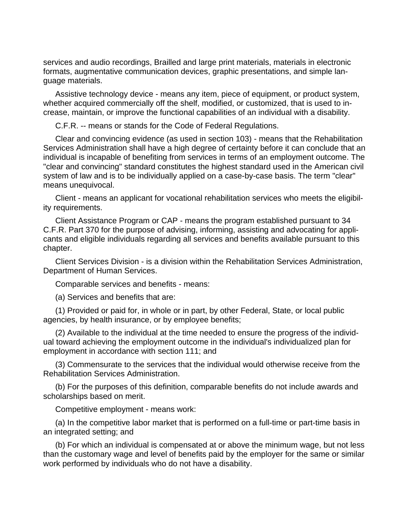services and audio recordings, Brailled and large print materials, materials in electronic formats, augmentative communication devices, graphic presentations, and simple language materials.

Assistive technology device - means any item, piece of equipment, or product system, whether acquired commercially off the shelf, modified, or customized, that is used to increase, maintain, or improve the functional capabilities of an individual with a disability.

C.F.R. -- means or stands for the Code of Federal Regulations.

Clear and convincing evidence (as used in section 103) - means that the Rehabilitation Services Administration shall have a high degree of certainty before it can conclude that an individual is incapable of benefiting from services in terms of an employment outcome. The "clear and convincing" standard constitutes the highest standard used in the American civil system of law and is to be individually applied on a case-by-case basis. The term "clear" means unequivocal.

Client - means an applicant for vocational rehabilitation services who meets the eligibility requirements.

Client Assistance Program or CAP - means the program established pursuant to 34 C.F.R. Part 370 for the purpose of advising, informing, assisting and advocating for applicants and eligible individuals regarding all services and benefits available pursuant to this chapter.

Client Services Division - is a division within the Rehabilitation Services Administration, Department of Human Services.

Comparable services and benefits - means:

(a) Services and benefits that are:

(1) Provided or paid for, in whole or in part, by other Federal, State, or local public agencies, by health insurance, or by employee benefits;

(2) Available to the individual at the time needed to ensure the progress of the individual toward achieving the employment outcome in the individual's individualized plan for employment in accordance with section 111; and

(3) Commensurate to the services that the individual would otherwise receive from the Rehabilitation Services Administration.

(b) For the purposes of this definition, comparable benefits do not include awards and scholarships based on merit.

Competitive employment - means work:

(a) In the competitive labor market that is performed on a full-time or part-time basis in an integrated setting; and

(b) For which an individual is compensated at or above the minimum wage, but not less than the customary wage and level of benefits paid by the employer for the same or similar work performed by individuals who do not have a disability.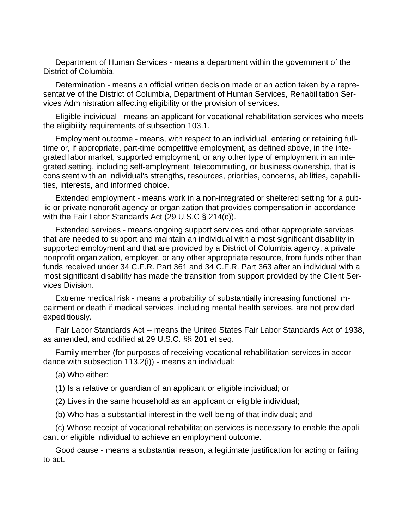Department of Human Services - means a department within the government of the District of Columbia.

Determination - means an official written decision made or an action taken by a representative of the District of Columbia, Department of Human Services, Rehabilitation Services Administration affecting eligibility or the provision of services.

Eligible individual - means an applicant for vocational rehabilitation services who meets the eligibility requirements of subsection 103.1.

Employment outcome - means, with respect to an individual, entering or retaining fulltime or, if appropriate, part-time competitive employment, as defined above, in the integrated labor market, supported employment, or any other type of employment in an integrated setting, including self-employment, telecommuting, or business ownership, that is consistent with an individual's strengths, resources, priorities, concerns, abilities, capabilities, interests, and informed choice.

Extended employment - means work in a non-integrated or sheltered setting for a public or private nonprofit agency or organization that provides compensation in accordance with the Fair Labor Standards Act (29 U.S.C § 214(c)).

Extended services - means ongoing support services and other appropriate services that are needed to support and maintain an individual with a most significant disability in supported employment and that are provided by a District of Columbia agency, a private nonprofit organization, employer, or any other appropriate resource, from funds other than funds received under 34 C.F.R. Part 361 and 34 C.F.R. Part 363 after an individual with a most significant disability has made the transition from support provided by the Client Services Division.

Extreme medical risk - means a probability of substantially increasing functional impairment or death if medical services, including mental health services, are not provided expeditiously.

Fair Labor Standards Act -- means the United States Fair Labor Standards Act of 1938, as amended, and codified at 29 U.S.C. §§ 201 et seq.

Family member (for purposes of receiving vocational rehabilitation services in accordance with subsection 113.2(i)) - means an individual:

(a) Who either:

(1) Is a relative or guardian of an applicant or eligible individual; or

(2) Lives in the same household as an applicant or eligible individual;

(b) Who has a substantial interest in the well-being of that individual; and

(c) Whose receipt of vocational rehabilitation services is necessary to enable the applicant or eligible individual to achieve an employment outcome.

Good cause - means a substantial reason, a legitimate justification for acting or failing to act.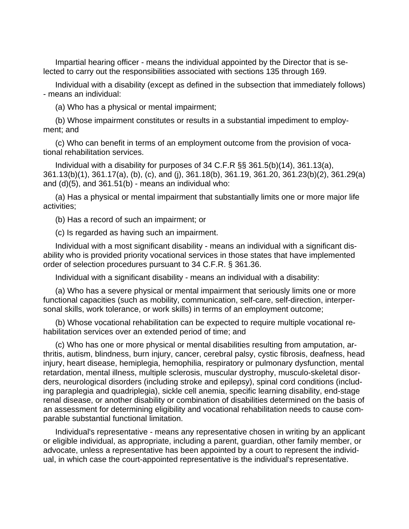Impartial hearing officer - means the individual appointed by the Director that is selected to carry out the responsibilities associated with sections 135 through 169.

Individual with a disability (except as defined in the subsection that immediately follows) - means an individual:

(a) Who has a physical or mental impairment;

(b) Whose impairment constitutes or results in a substantial impediment to employment; and

(c) Who can benefit in terms of an employment outcome from the provision of vocational rehabilitation services.

Individual with a disability for purposes of 34 C.F.R §§ 361.5(b)(14), 361.13(a), 361.13(b)(1), 361.17(a), (b), (c), and (j), 361.18(b), 361.19, 361.20, 361.23(b)(2), 361.29(a) and  $(d)(5)$ , and  $361.51(b)$  - means an individual who:

(a) Has a physical or mental impairment that substantially limits one or more major life activities;

(b) Has a record of such an impairment; or

(c) Is regarded as having such an impairment.

Individual with a most significant disability - means an individual with a significant disability who is provided priority vocational services in those states that have implemented order of selection procedures pursuant to 34 C.F.R. § 361.36.

Individual with a significant disability - means an individual with a disability:

(a) Who has a severe physical or mental impairment that seriously limits one or more functional capacities (such as mobility, communication, self-care, self-direction, interpersonal skills, work tolerance, or work skills) in terms of an employment outcome;

(b) Whose vocational rehabilitation can be expected to require multiple vocational rehabilitation services over an extended period of time; and

(c) Who has one or more physical or mental disabilities resulting from amputation, arthritis, autism, blindness, burn injury, cancer, cerebral palsy, cystic fibrosis, deafness, head injury, heart disease, hemiplegia, hemophilia, respiratory or pulmonary dysfunction, mental retardation, mental illness, multiple sclerosis, muscular dystrophy, musculo-skeletal disorders, neurological disorders (including stroke and epilepsy), spinal cord conditions (including paraplegia and quadriplegia), sickle cell anemia, specific learning disability, end-stage renal disease, or another disability or combination of disabilities determined on the basis of an assessment for determining eligibility and vocational rehabilitation needs to cause comparable substantial functional limitation.

Individual's representative - means any representative chosen in writing by an applicant or eligible individual, as appropriate, including a parent, guardian, other family member, or advocate, unless a representative has been appointed by a court to represent the individual, in which case the court-appointed representative is the individual's representative.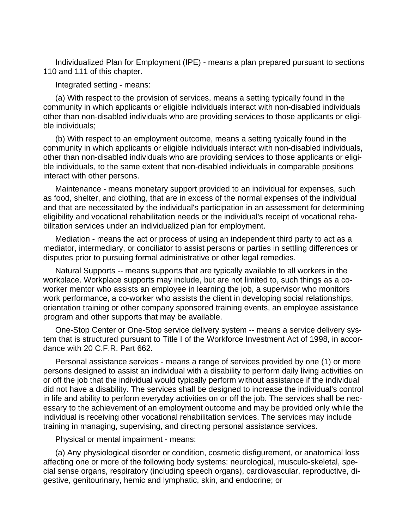Individualized Plan for Employment (IPE) - means a plan prepared pursuant to sections 110 and 111 of this chapter.

Integrated setting - means:

(a) With respect to the provision of services, means a setting typically found in the community in which applicants or eligible individuals interact with non-disabled individuals other than non-disabled individuals who are providing services to those applicants or eligible individuals;

(b) With respect to an employment outcome, means a setting typically found in the community in which applicants or eligible individuals interact with non-disabled individuals, other than non-disabled individuals who are providing services to those applicants or eligible individuals, to the same extent that non-disabled individuals in comparable positions interact with other persons.

Maintenance - means monetary support provided to an individual for expenses, such as food, shelter, and clothing, that are in excess of the normal expenses of the individual and that are necessitated by the individual's participation in an assessment for determining eligibility and vocational rehabilitation needs or the individual's receipt of vocational rehabilitation services under an individualized plan for employment.

Mediation - means the act or process of using an independent third party to act as a mediator, intermediary, or conciliator to assist persons or parties in settling differences or disputes prior to pursuing formal administrative or other legal remedies.

Natural Supports -- means supports that are typically available to all workers in the workplace. Workplace supports may include, but are not limited to, such things as a coworker mentor who assists an employee in learning the job, a supervisor who monitors work performance, a co-worker who assists the client in developing social relationships, orientation training or other company sponsored training events, an employee assistance program and other supports that may be available.

One-Stop Center or One-Stop service delivery system -- means a service delivery system that is structured pursuant to Title I of the Workforce Investment Act of 1998, in accordance with 20 C.F.R. Part 662.

Personal assistance services - means a range of services provided by one (1) or more persons designed to assist an individual with a disability to perform daily living activities on or off the job that the individual would typically perform without assistance if the individual did not have a disability. The services shall be designed to increase the individual's control in life and ability to perform everyday activities on or off the job. The services shall be necessary to the achievement of an employment outcome and may be provided only while the individual is receiving other vocational rehabilitation services. The services may include training in managing, supervising, and directing personal assistance services.

Physical or mental impairment - means:

(a) Any physiological disorder or condition, cosmetic disfigurement, or anatomical loss affecting one or more of the following body systems: neurological, musculo-skeletal, special sense organs, respiratory (including speech organs), cardiovascular, reproductive, digestive, genitourinary, hemic and lymphatic, skin, and endocrine; or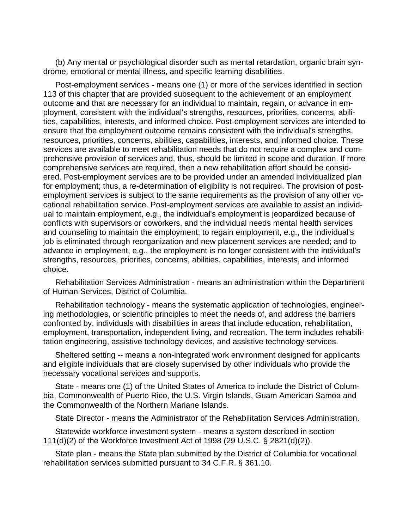(b) Any mental or psychological disorder such as mental retardation, organic brain syndrome, emotional or mental illness, and specific learning disabilities.

Post-employment services - means one (1) or more of the services identified in section 113 of this chapter that are provided subsequent to the achievement of an employment outcome and that are necessary for an individual to maintain, regain, or advance in employment, consistent with the individual's strengths, resources, priorities, concerns, abilities, capabilities, interests, and informed choice. Post-employment services are intended to ensure that the employment outcome remains consistent with the individual's strengths, resources, priorities, concerns, abilities, capabilities, interests, and informed choice. These services are available to meet rehabilitation needs that do not require a complex and comprehensive provision of services and, thus, should be limited in scope and duration. If more comprehensive services are required, then a new rehabilitation effort should be considered. Post-employment services are to be provided under an amended individualized plan for employment; thus, a re-determination of eligibility is not required. The provision of postemployment services is subject to the same requirements as the provision of any other vocational rehabilitation service. Post-employment services are available to assist an individual to maintain employment, e.g., the individual's employment is jeopardized because of conflicts with supervisors or coworkers, and the individual needs mental health services and counseling to maintain the employment; to regain employment, e.g., the individual's job is eliminated through reorganization and new placement services are needed; and to advance in employment, e.g., the employment is no longer consistent with the individual's strengths, resources, priorities, concerns, abilities, capabilities, interests, and informed choice.

Rehabilitation Services Administration - means an administration within the Department of Human Services, District of Columbia.

Rehabilitation technology - means the systematic application of technologies, engineering methodologies, or scientific principles to meet the needs of, and address the barriers confronted by, individuals with disabilities in areas that include education, rehabilitation, employment, transportation, independent living, and recreation. The term includes rehabilitation engineering, assistive technology devices, and assistive technology services.

Sheltered setting -- means a non-integrated work environment designed for applicants and eligible individuals that are closely supervised by other individuals who provide the necessary vocational services and supports.

State - means one (1) of the United States of America to include the District of Columbia, Commonwealth of Puerto Rico, the U.S. Virgin Islands, Guam American Samoa and the Commonwealth of the Northern Mariane Islands.

State Director - means the Administrator of the Rehabilitation Services Administration.

Statewide workforce investment system - means a system described in section 111(d)(2) of the Workforce Investment Act of 1998 (29 U.S.C. § 2821(d)(2)).

State plan - means the State plan submitted by the District of Columbia for vocational rehabilitation services submitted pursuant to 34 C.F.R. § 361.10.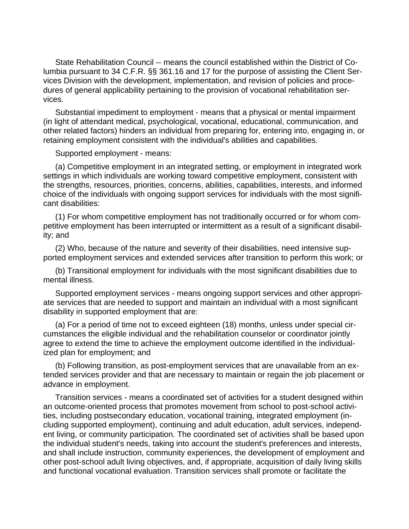State Rehabilitation Council -- means the council established within the District of Columbia pursuant to 34 C.F.R. §§ 361.16 and 17 for the purpose of assisting the Client Services Division with the development, implementation, and revision of policies and procedures of general applicability pertaining to the provision of vocational rehabilitation services.

Substantial impediment to employment - means that a physical or mental impairment (in light of attendant medical, psychological, vocational, educational, communication, and other related factors) hinders an individual from preparing for, entering into, engaging in, or retaining employment consistent with the individual's abilities and capabilities.

Supported employment - means:

(a) Competitive employment in an integrated setting, or employment in integrated work settings in which individuals are working toward competitive employment, consistent with the strengths, resources, priorities, concerns, abilities, capabilities, interests, and informed choice of the individuals with ongoing support services for individuals with the most significant disabilities:

(1) For whom competitive employment has not traditionally occurred or for whom competitive employment has been interrupted or intermittent as a result of a significant disability; and

(2) Who, because of the nature and severity of their disabilities, need intensive supported employment services and extended services after transition to perform this work; or

(b) Transitional employment for individuals with the most significant disabilities due to mental illness.

Supported employment services - means ongoing support services and other appropriate services that are needed to support and maintain an individual with a most significant disability in supported employment that are:

(a) For a period of time not to exceed eighteen (18) months, unless under special circumstances the eligible individual and the rehabilitation counselor or coordinator jointly agree to extend the time to achieve the employment outcome identified in the individualized plan for employment; and

(b) Following transition, as post-employment services that are unavailable from an extended services provider and that are necessary to maintain or regain the job placement or advance in employment.

Transition services - means a coordinated set of activities for a student designed within an outcome-oriented process that promotes movement from school to post-school activities, including postsecondary education, vocational training, integrated employment (including supported employment), continuing and adult education, adult services, independent living, or community participation. The coordinated set of activities shall be based upon the individual student's needs, taking into account the student's preferences and interests, and shall include instruction, community experiences, the development of employment and other post-school adult living objectives, and, if appropriate, acquisition of daily living skills and functional vocational evaluation. Transition services shall promote or facilitate the